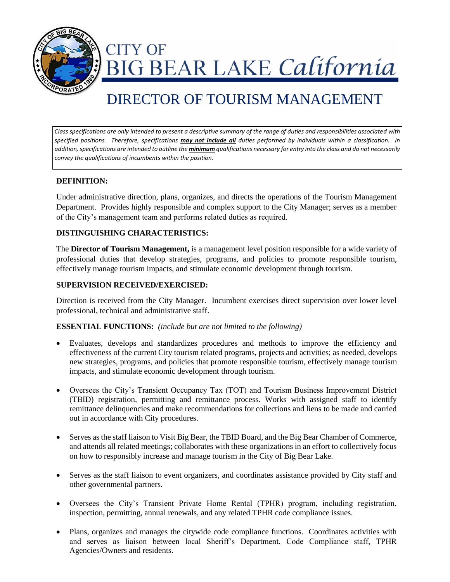

**CITY OF** IG BEAR LAKE California

# DIRECTOR OF TOURISM MANAGEMENT

*Class specifications are only intended to present a descriptive summary of the range of duties and responsibilities associated with specified positions. Therefore, specifications may not include all duties performed by individuals within a classification. In addition, specifications are intended to outline the minimum qualifications necessary for entry into the class and do not necessarily convey the qualifications of incumbents within the position.*

# **DEFINITION:**

Under administrative direction, plans, organizes, and directs the operations of the Tourism Management Department. Provides highly responsible and complex support to the City Manager; serves as a member of the City's management team and performs related duties as required.

## **DISTINGUISHING CHARACTERISTICS:**

The **Director of Tourism Management,** is a management level position responsible for a wide variety of professional duties that develop strategies, programs, and policies to promote responsible tourism, effectively manage tourism impacts, and stimulate economic development through tourism.

# **SUPERVISION RECEIVED/EXERCISED:**

Direction is received from the City Manager. Incumbent exercises direct supervision over lower level professional, technical and administrative staff.

#### **ESSENTIAL FUNCTIONS:** *(include but are not limited to the following)*

- Evaluates, develops and standardizes procedures and methods to improve the efficiency and effectiveness of the current City tourism related programs, projects and activities; as needed, develops new strategies, programs, and policies that promote responsible tourism, effectively manage tourism impacts, and stimulate economic development through tourism.
- Oversees the City's Transient Occupancy Tax (TOT) and Tourism Business Improvement District (TBID) registration, permitting and remittance process. Works with assigned staff to identify remittance delinquencies and make recommendations for collections and liens to be made and carried out in accordance with City procedures.
- Serves as the staff liaison to Visit Big Bear, the TBID Board, and the Big Bear Chamber of Commerce, and attends all related meetings; collaborates with these organizations in an effort to collectively focus on how to responsibly increase and manage tourism in the City of Big Bear Lake.
- Serves as the staff liaison to event organizers, and coordinates assistance provided by City staff and other governmental partners.
- Oversees the City's Transient Private Home Rental (TPHR) program, including registration, inspection, permitting, annual renewals, and any related TPHR code compliance issues.
- Plans, organizes and manages the citywide code compliance functions. Coordinates activities with and serves as liaison between local Sheriff's Department, Code Compliance staff, TPHR Agencies/Owners and residents.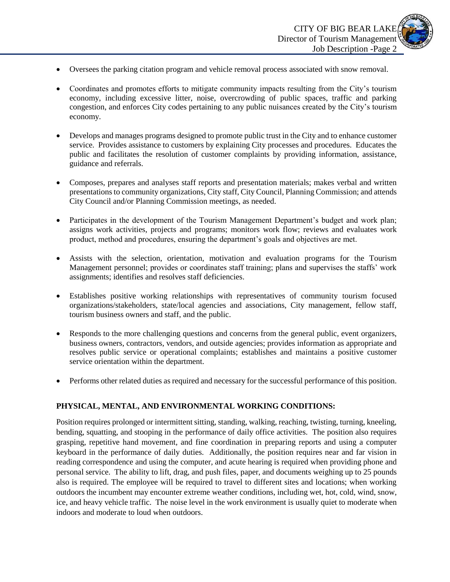- Oversees the parking citation program and vehicle removal process associated with snow removal.
- Coordinates and promotes efforts to mitigate community impacts resulting from the City's tourism economy, including excessive litter, noise, overcrowding of public spaces, traffic and parking congestion, and enforces City codes pertaining to any public nuisances created by the City's tourism economy.
- Develops and manages programs designed to promote public trust in the City and to enhance customer service. Provides assistance to customers by explaining City processes and procedures. Educates the public and facilitates the resolution of customer complaints by providing information, assistance, guidance and referrals.
- Composes, prepares and analyses staff reports and presentation materials; makes verbal and written presentations to community organizations, City staff, City Council, Planning Commission; and attends City Council and/or Planning Commission meetings, as needed.
- Participates in the development of the Tourism Management Department's budget and work plan; assigns work activities, projects and programs; monitors work flow; reviews and evaluates work product, method and procedures, ensuring the department's goals and objectives are met.
- Assists with the selection, orientation, motivation and evaluation programs for the Tourism Management personnel; provides or coordinates staff training; plans and supervises the staffs' work assignments; identifies and resolves staff deficiencies.
- Establishes positive working relationships with representatives of community tourism focused organizations/stakeholders, state/local agencies and associations, City management, fellow staff, tourism business owners and staff, and the public.
- Responds to the more challenging questions and concerns from the general public, event organizers, business owners, contractors, vendors, and outside agencies; provides information as appropriate and resolves public service or operational complaints; establishes and maintains a positive customer service orientation within the department.
- Performs other related duties as required and necessary for the successful performance of this position.

# **PHYSICAL, MENTAL, AND ENVIRONMENTAL WORKING CONDITIONS:**

Position requires prolonged or intermittent sitting, standing, walking, reaching, twisting, turning, kneeling, bending, squatting, and stooping in the performance of daily office activities. The position also requires grasping, repetitive hand movement, and fine coordination in preparing reports and using a computer keyboard in the performance of daily duties. Additionally, the position requires near and far vision in reading correspondence and using the computer, and acute hearing is required when providing phone and personal service. The ability to lift, drag, and push files, paper, and documents weighing up to 25 pounds also is required. The employee will be required to travel to different sites and locations; when working outdoors the incumbent may encounter extreme weather conditions, including wet, hot, cold, wind, snow, ice, and heavy vehicle traffic. The noise level in the work environment is usually quiet to moderate when indoors and moderate to loud when outdoors.